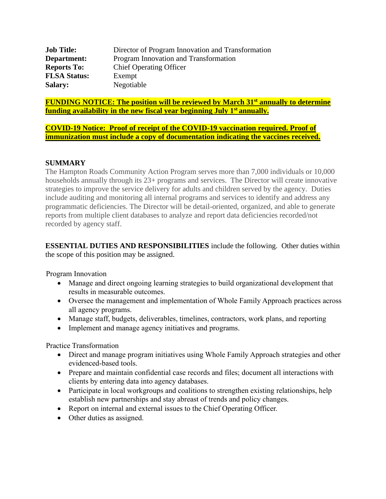| <b>Job Title:</b>   | Director of Program Innovation and Transformation |
|---------------------|---------------------------------------------------|
| Department:         | Program Innovation and Transformation             |
| <b>Reports To:</b>  | <b>Chief Operating Officer</b>                    |
| <b>FLSA Status:</b> | Exempt                                            |
| <b>Salary:</b>      | Negotiable                                        |

**FUNDING NOTICE: The position will be reviewed by March 31st annually to determine funding availability in the new fiscal year beginning July 1st annually.**

**COVID-19 Notice: Proof of receipt of the COVID-19 vaccination required. Proof of immunization must include a copy of documentation indicating the vaccines received.**

## **SUMMARY**

The Hampton Roads Community Action Program serves more than 7,000 individuals or 10,000 households annually through its  $23+$  programs and services. The Director will create innovative strategies to improve the service delivery for adults and children served by the agency. Duties include auditing and monitoring all internal programs and services to identify and address any programmatic deficiencies. The Director will be detail-oriented, organized, and able to generate reports from multiple client databases to analyze and report data deficiencies recorded/not recorded by agency staff.

**ESSENTIAL DUTIES AND RESPONSIBILITIES** include the following. Other duties within the scope of this position may be assigned.

Program Innovation

- Manage and direct ongoing learning strategies to build organizational development that results in measurable outcomes.
- Oversee the management and implementation of Whole Family Approach practices across all agency programs.
- Manage staff, budgets, deliverables, timelines, contractors, work plans, and reporting
- Implement and manage agency initiatives and programs.

Practice Transformation

- Direct and manage program initiatives using Whole Family Approach strategies and other evidenced-based tools.
- Prepare and maintain confidential case records and files; document all interactions with clients by entering data into agency databases.
- Participate in local workgroups and coalitions to strengthen existing relationships, help establish new partnerships and stay abreast of trends and policy changes.
- Report on internal and external issues to the Chief Operating Officer.
- Other duties as assigned.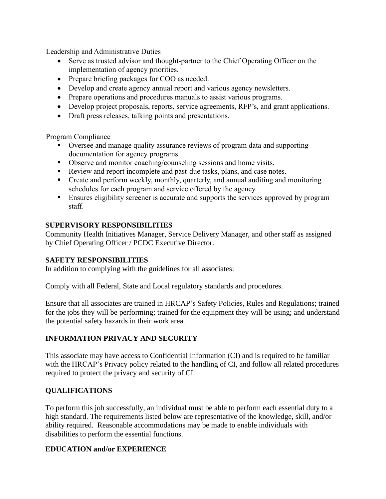Leadership and Administrative Duties

- Serve as trusted advisor and thought-partner to the Chief Operating Officer on the implementation of agency priorities.
- Prepare briefing packages for COO as needed.
- Develop and create agency annual report and various agency newsletters.
- Prepare operations and procedures manuals to assist various programs.
- Develop project proposals, reports, service agreements, RFP's, and grant applications.
- Draft press releases, talking points and presentations.

Program Compliance

- Oversee and manage quality assurance reviews of program data and supporting documentation for agency programs.
- Observe and monitor coaching/counseling sessions and home visits.
- Review and report incomplete and past-due tasks, plans, and case notes.
- Create and perform weekly, monthly, quarterly, and annual auditing and monitoring schedules for each program and service offered by the agency.
- Ensures eligibility screener is accurate and supports the services approved by program staff.

## **SUPERVISORY RESPONSIBILITIES**

Community Health Initiatives Manager, Service Delivery Manager, and other staff as assigned by Chief Operating Officer / PCDC Executive Director.

## **SAFETY RESPONSIBILITIES**

In addition to complying with the guidelines for all associates:

Comply with all Federal, State and Local regulatory standards and procedures.

Ensure that all associates are trained in HRCAP's Safety Policies, Rules and Regulations; trained for the jobs they will be performing; trained for the equipment they will be using; and understand the potential safety hazards in their work area.

# **INFORMATION PRIVACY AND SECURITY**

This associate may have access to Confidential Information (CI) and is required to be familiar with the HRCAP's Privacy policy related to the handling of CI, and follow all related procedures required to protect the privacy and security of CI.

## **QUALIFICATIONS**

To perform this job successfully, an individual must be able to perform each essential duty to a high standard. The requirements listed below are representative of the knowledge, skill, and/or ability required. Reasonable accommodations may be made to enable individuals with disabilities to perform the essential functions.

## **EDUCATION and/or EXPERIENCE**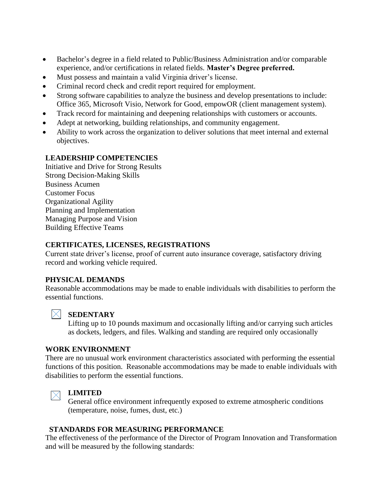- Bachelor's degree in a field related to Public/Business Administration and/or comparable experience, and/or certifications in related fields. **Master's Degree preferred.**
- Must possess and maintain a valid Virginia driver's license.
- Criminal record check and credit report required for employment.
- Strong software capabilities to analyze the business and develop presentations to include: Office 365, Microsoft Visio, Network for Good, empowOR (client management system).
- Track record for maintaining and deepening relationships with customers or accounts.
- Adept at networking, building relationships, and community engagement.
- Ability to work across the organization to deliver solutions that meet internal and external objectives.

## **LEADERSHIP COMPETENCIES**

Initiative and Drive for Strong Results Strong Decision-Making Skills Business Acumen Customer Focus Organizational Agility Planning and Implementation Managing Purpose and Vision Building Effective Teams

## **CERTIFICATES, LICENSES, REGISTRATIONS**

Current state driver's license, proof of current auto insurance coverage, satisfactory driving record and working vehicle required.

## **PHYSICAL DEMANDS**

Reasonable accommodations may be made to enable individuals with disabilities to perform the essential functions.



## **SEDENTARY**

Lifting up to 10 pounds maximum and occasionally lifting and/or carrying such articles as dockets, ledgers, and files. Walking and standing are required only occasionally

#### **WORK ENVIRONMENT**

There are no unusual work environment characteristics associated with performing the essential functions of this position. Reasonable accommodations may be made to enable individuals with disabilities to perform the essential functions.

#### **LIMITED**  $\times$

General office environment infrequently exposed to extreme atmospheric conditions (temperature, noise, fumes, dust, etc.)

## **STANDARDS FOR MEASURING PERFORMANCE**

The effectiveness of the performance of the Director of Program Innovation and Transformation and will be measured by the following standards: